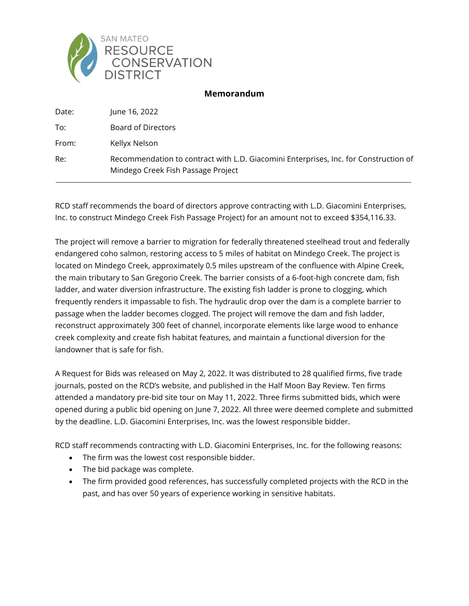

## **Memorandum**

| Date: | June 16, 2022                                                                                                              |
|-------|----------------------------------------------------------------------------------------------------------------------------|
| To:   | Board of Directors                                                                                                         |
| From: | Kellyx Nelson                                                                                                              |
| Re:   | Recommendation to contract with L.D. Giacomini Enterprises, Inc. for Construction of<br>Mindego Creek Fish Passage Project |

RCD staff recommends the board of directors approve contracting with L.D. Giacomini Enterprises, Inc. to construct Mindego Creek Fish Passage Project) for an amount not to exceed \$354,116.33.

The project will remove a barrier to migration for federally threatened steelhead trout and federally endangered coho salmon, restoring access to 5 miles of habitat on Mindego Creek. The project is located on Mindego Creek, approximately 0.5 miles upstream of the confluence with Alpine Creek, the main tributary to San Gregorio Creek. The barrier consists of a 6-foot-high concrete dam, fish ladder, and water diversion infrastructure. The existing fish ladder is prone to clogging, which frequently renders it impassable to fish. The hydraulic drop over the dam is a complete barrier to passage when the ladder becomes clogged. The project will remove the dam and fish ladder, reconstruct approximately 300 feet of channel, incorporate elements like large wood to enhance creek complexity and create fish habitat features, and maintain a functional diversion for the landowner that is safe for fish.

A Request for Bids was released on May 2, 2022. It was distributed to 28 qualified firms, five trade journals, posted on the RCD's website, and published in the Half Moon Bay Review. Ten firms attended a mandatory pre-bid site tour on May 11, 2022. Three firms submitted bids, which were opened during a public bid opening on June 7, 2022. All three were deemed complete and submitted by the deadline. L.D. Giacomini Enterprises, Inc. was the lowest responsible bidder.

RCD staff recommends contracting with L.D. Giacomini Enterprises, Inc. for the following reasons:

- The firm was the lowest cost responsible bidder.
- The bid package was complete.
- The firm provided good references, has successfully completed projects with the RCD in the past, and has over 50 years of experience working in sensitive habitats.